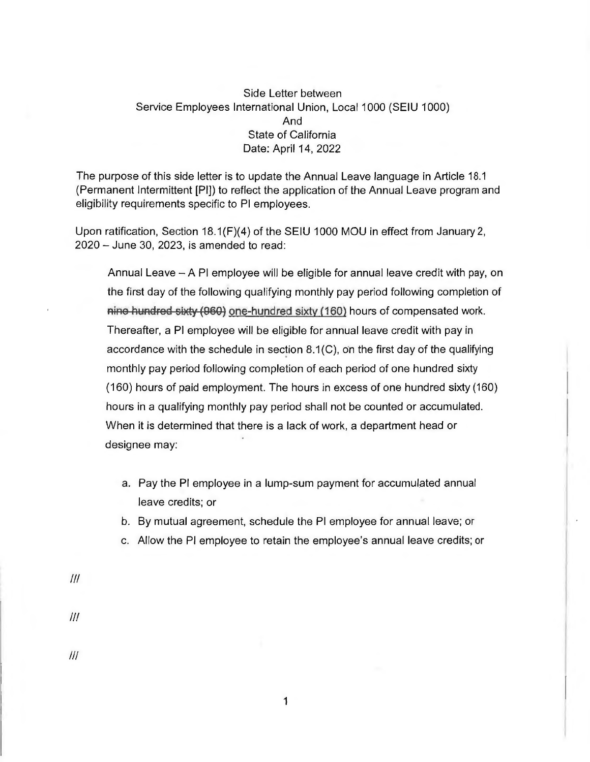## Side Letter between Service Employees International Union, Local 1000 (SEIU 1000) And State of California Date: April 14, 2022

The purpose of this side letter is to update the Annual Leave language in Article 18.1 (Permanent Intermittent [Pl]) to reflect the application of the Annual Leave program and eligibility requirements specific to Pl employees.

Upon ratification, Section 18.1 (F)(4) of the SEIU 1000 MOU in effect from January 2, 2020 - June 30, 2023, is amended to read:

Annual Leave  $-$  A PI employee will be eligible for annual leave credit with pay, on the first day of the following qualifying monthly pay period following completion of nine hundred sixty (960) one-hundred sixty (160) hours of compensated work. Thereafter, a Pl employee will be eligible for annual leave credit with pay in accordance with the schedule in section  $8.1(C)$ , on the first day of the qualifying monthly pay period following completion of each period of one hundred sixty (160) hours of paid employment. The hours in excess of one hundred sixty (160) hours in a qualifying monthly pay period shall not be counted or accumulated. When it is determined that there is a lack of work, a department head or designee may:

- a. Pay the Pl employee in a lump-sum payment for accumulated annual leave credits; or
- b. By mutual agreement, schedule the Pl employee for annual leave; or
- c. Allow the Pl employee to retain the employee's annual leave credits; or

1

 $f$ 

 $III$ 

Ill